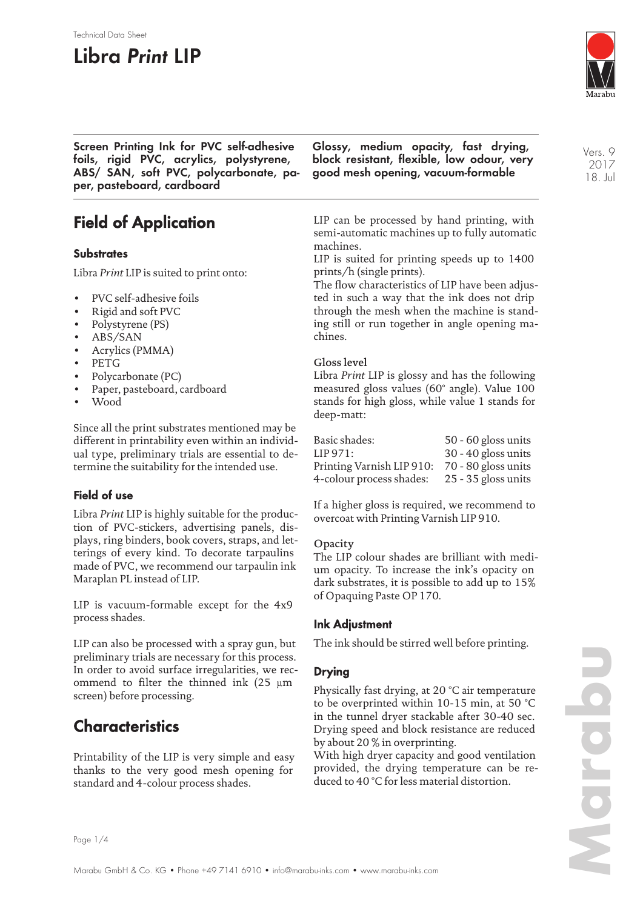# **Libra Print LIP**

Technical Data Sheet



Vers. 9 2017 18. Jul

**Screen Printing Ink for PVC self-adhesive foils, rigid PVC, acrylics, polystyrene, ABS/ SAN, soft PVC, polycarbonate, paper, pasteboard, cardboard**

**Field of Application**

## **Substrates**

Libra *Print* LIP is suited to print onto:

- PVC self-adhesive foils
- Rigid and soft PVC
- Polystyrene (PS)
- ABS/SAN
- Acrylics (PMMA)
- PETG
- Polycarbonate (PC)
- Paper, pasteboard, cardboard
- Wood

Since all the print substrates mentioned may be different in printability even within an individual type, preliminary trials are essential to determine the suitability for the intended use.

## **Field of use**

Libra *Print* LIP is highly suitable for the production of PVC-stickers, advertising panels, displays, ring binders, book covers, straps, and letterings of every kind. To decorate tarpaulins made of PVC, we recommend our tarpaulin ink Maraplan PL instead of LIP.

LIP is vacuum-formable except for the 4x9 process shades.

LIP can also be processed with a spray gun, but preliminary trials are necessary for this process. In order to avoid surface irregularities, we recommend to filter the thinned ink (25 µm screen) before processing.

## **Characteristics**

Printability of the LIP is very simple and easy thanks to the very good mesh opening for standard and 4-colour process shades.

**Glossy, medium opacity, fast drying, block resistant, flexible, low odour, very good mesh opening, vacuum-formable**

LIP can be processed by hand printing, with semi-automatic machines up to fully automatic machines.

LIP is suited for printing speeds up to 1400 prints/h (single prints).

The flow characteristics of LIP have been adjusted in such a way that the ink does not drip through the mesh when the machine is standing still or run together in angle opening machines.

### Gloss level

Libra *Print* LIP is glossy and has the following measured gloss values (60° angle). Value 100 stands for high gloss, while value 1 stands for deep-matt:

| Basic shades:             | 50 - 60 gloss units   |
|---------------------------|-----------------------|
| LIP 971:                  | 30 - 40 gloss units   |
| Printing Varnish LIP 910: | 70 - 80 gloss units   |
| 4-colour process shades:  | $25 - 35$ gloss units |

If a higher gloss is required, we recommend to overcoat with Printing Varnish LIP 910.

#### **Opacity**

The LIP colour shades are brilliant with medium opacity. To increase the ink's opacity on dark substrates, it is possible to add up to 15% of Opaquing Paste OP 170.

## **Ink Adjustment**

The ink should be stirred well before printing.

## **Drying**

Physically fast drying, at 20 °C air temperature to be overprinted within 10-15 min, at 50 °C in the tunnel dryer stackable after 30-40 sec. Drying speed and block resistance are reduced by about 20 % in overprinting.

With high dryer capacity and good ventilation provided, the drying temperature can be reduced to 40 °C for less material distortion.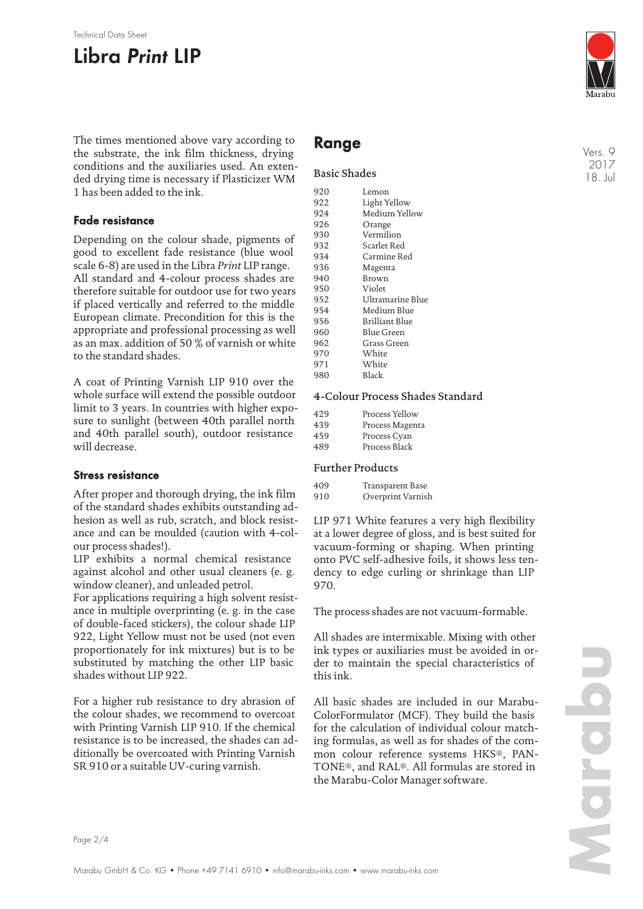#### Technical Data Sheet

# **Libra Print LIP**

The times mentioned above vary according to the substrate, the ink film thickness, drying conditions and the auxiliaries used. An extended drying time is necessary if Plasticizer WM 1 has been added to the ink.

### **Fade resistance**

Depending on the colour shade, pigments of good to excellent fade resistance (blue wool scale 6-8) are used in the Libra *Print* LIP range. All standard and 4-colour process shades are therefore suitable for outdoor use for two years if placed vertically and referred to the middle European climate. Precondition for this is the appropriate and professional processing as well as an max. addition of 50 % of varnish or white to the standard shades.

A coat of Printing Varnish LIP 910 over the whole surface will extend the possible outdoor limit to 3 years. In countries with higher exposure to sunlight (between 40th parallel north and 40th parallel south), outdoor resistance will decrease.

### **Stress resistance**

After proper and thorough drying, the ink film of the standard shades exhibits outstanding adhesion as well as rub, scratch, and block resistance and can be moulded (caution with 4-colour process shades!).

LIP exhibits a normal chemical resistance against alcohol and other usual cleaners (e. g. window cleaner), and unleaded petrol.

For applications requiring a high solvent resistance in multiple overprinting (e. g. in the case of double-faced stickers), the colour shade LIP 922, Light Yellow must not be used (not even proportionately for ink mixtures) but is to be substituted by matching the other LIP basic shades without LIP 922.

For a higher rub resistance to dry abrasion of the colour shades, we recommend to overcoat with Printing Varnish LIP 910. If the chemical resistance is to be increased, the shades can additionally be overcoated with Printing Varnish SR 910 or a suitable UV-curing varnish.

## **Range**

#### Basic Shades

| 920 | Lemon                 |
|-----|-----------------------|
| 922 | Light Yellow          |
| 924 | Medium Yellow         |
| 926 | Orange                |
| 930 | Vermilion             |
| 932 | Scarlet Red           |
| 934 | Carmine Red           |
| 936 | Magenta               |
| 940 | Brown                 |
| 950 | Violet                |
| 952 | Ultramarine Blue      |
| 954 | Medium Blue           |
| 956 | <b>Brilliant Blue</b> |
| 960 | Blue Green            |
| 962 | Grass Green           |
| 970 | White                 |
| 971 | White                 |
| 980 | Black                 |
|     |                       |

#### 4-Colour Process Shades Standard

| 429 | Process Yellow  |
|-----|-----------------|
| 439 | Process Magenta |
| 459 | Process Cyan    |
| 489 | Process Black   |

### Further Products

| 409 | Transparent Base  |
|-----|-------------------|
| 910 | Overprint Varnish |

LIP 971 White features a very high flexibility at a lower degree of gloss, and is best suited for vacuum-forming or shaping. When printing onto PVC self-adhesive foils, it shows less tendency to edge curling or shrinkage than LIP 970.

The process shades are not vacuum-formable.

All shades are intermixable. Mixing with other ink types or auxiliaries must be avoided in order to maintain the special characteristics of this ink.

All basic shades are included in our Marabu-ColorFormulator (MCF). They build the basis for the calculation of individual colour matching formulas, as well as for shades of the common colour reference systems HKS®, PAN-TONE®, and RAL®. All formulas are stored in the Marabu-Color Manager software.

Vers. 9 2017 18. Jul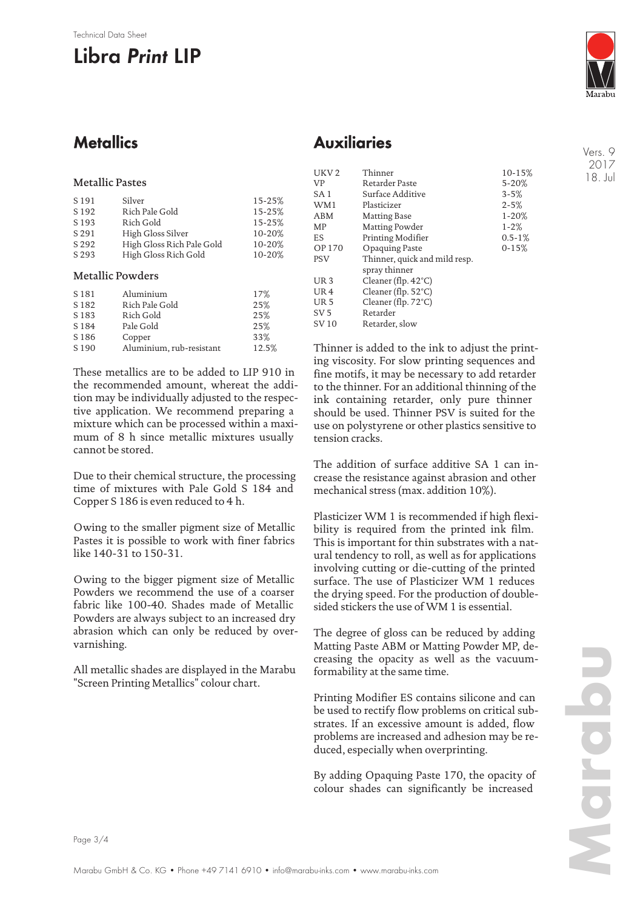#### Technical Data Sheet

# **Libra Print LIP**



Vers. 9 2017 18. Jul

## **Metallics**

## **Auxiliaries**

| <b>Metallic Pastes</b> |
|------------------------|
|------------------------|

| S 191                   | Silver                    | 15-25% |
|-------------------------|---------------------------|--------|
| S 192                   | Rich Pale Gold            | 15-25% |
| S 193                   | Rich Gold                 | 15-25% |
| S 291                   | High Gloss Silver         | 10-20% |
| S 292                   | High Gloss Rich Pale Gold | 10-20% |
| S 293                   | High Gloss Rich Gold      | 10-20% |
| <b>Metallic Powders</b> |                           |        |
| S <sub>181</sub>        | Aluminium                 | 17%    |

| 5181             | Aluminium                | 1/7 <sub>o</sub> |
|------------------|--------------------------|------------------|
| S <sub>182</sub> | Rich Pale Gold           | 25%              |
| S <sub>183</sub> | Rich Gold                | 25%              |
| S 184            | Pale Gold                | 25%              |
| S <sub>186</sub> | Copper                   | 33%              |
| S <sub>190</sub> | Aluminium, rub-resistant | 12.5%            |
|                  |                          |                  |

These metallics are to be added to LIP 910 in the recommended amount, whereat the addition may be individually adjusted to the respective application. We recommend preparing a mixture which can be processed within a maximum of 8 h since metallic mixtures usually cannot be stored.

Due to their chemical structure, the processing time of mixtures with Pale Gold S 184 and Copper S 186 is even reduced to 4 h.

Owing to the smaller pigment size of Metallic Pastes it is possible to work with finer fabrics like 140-31 to 150-31.

Owing to the bigger pigment size of Metallic Powders we recommend the use of a coarser fabric like 100-40. Shades made of Metallic Powders are always subject to an increased dry abrasion which can only be reduced by overvarnishing.

All metallic shades are displayed in the Marabu "Screen Printing Metallics" colour chart.

| UKV <sub>2</sub> | Thinner                       | $10 - 15%$  |
|------------------|-------------------------------|-------------|
| VP               | Retarder Paste                | $5 - 20%$   |
| SA <sub>1</sub>  | Surface Additive              | $3 - 5%$    |
| WM1              | Plasticizer                   | $2 - 5%$    |
| ABM              | Matting Base                  | $1 - 20%$   |
| MP               | Matting Powder                | $1 - 2%$    |
| ES               | Printing Modifier             | $0.5 - 1\%$ |
| OP 170           | Opaquing Paste                | $0 - 15%$   |
| <b>PSV</b>       | Thinner, quick and mild resp. |             |
|                  | spray thinner                 |             |
| UR <sub>3</sub>  | Cleaner (flp. $42^{\circ}$ C) |             |
| UR <sub>4</sub>  | Cleaner (flp. $52^{\circ}$ C) |             |
| UR <sub>5</sub>  | Cleaner (flp. $72^{\circ}$ C) |             |
| SV <sub>5</sub>  | Retarder                      |             |
| SV 10            | Retarder, slow                |             |

Thinner is added to the ink to adjust the printing viscosity. For slow printing sequences and fine motifs, it may be necessary to add retarder to the thinner. For an additional thinning of the ink containing retarder, only pure thinner should be used. Thinner PSV is suited for the use on polystyrene or other plastics sensitive to tension cracks.

The addition of surface additive SA 1 can increase the resistance against abrasion and other mechanical stress (max. addition 10%).

Plasticizer WM 1 is recommended if high flexibility is required from the printed ink film. This is important for thin substrates with a natural tendency to roll, as well as for applications involving cutting or die-cutting of the printed surface. The use of Plasticizer WM 1 reduces the drying speed. For the production of doublesided stickers the use of WM 1 is essential.

The degree of gloss can be reduced by adding Matting Paste ABM or Matting Powder MP, decreasing the opacity as well as the vacuumformability at the same time.

Printing Modifier ES contains silicone and can be used to rectify flow problems on critical substrates. If an excessive amount is added, flow problems are increased and adhesion may be reduced, especially when overprinting.

By adding Opaquing Paste 170, the opacity of colour shades can significantly be increased